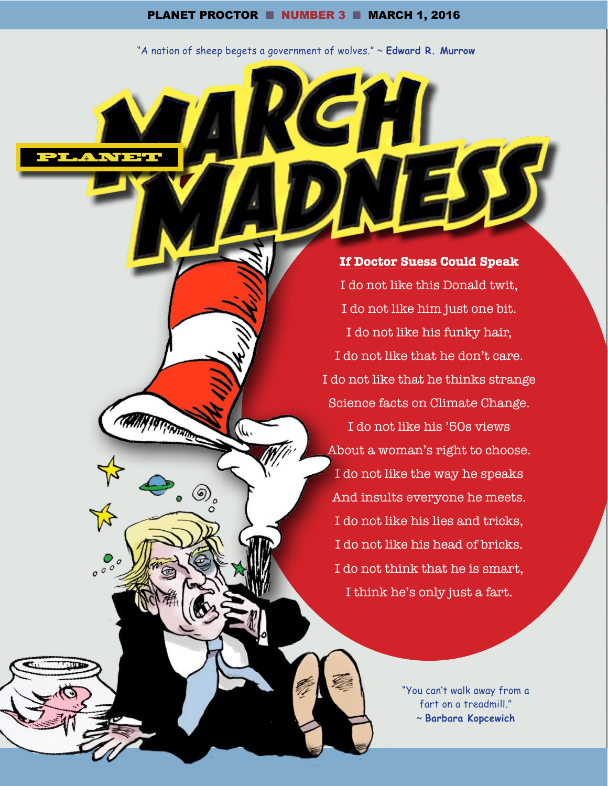"A nation of sheep begets a government of wolves." ~ **Edward R. Murrow**

PLAWPER

<sup>.</sup>.

**If Doctor Suess Could Speak** I do not like this Donald twit, I do not like him just one bit. I do not like his funky hair, I do not like that he don't care. I do not like that he thinks strange Science facts on Climate Change.

I do not like his '50s views About a woman's right to choose. I do not like the way he speaks And insults everyone he meets. I do not like his lies and tricks, I do not like his head of bricks. I do not think that he is smart, I think he's only just a fart.

> "You can't walk away from a fart on a treadmill." ~ **Barbara Kopcewich**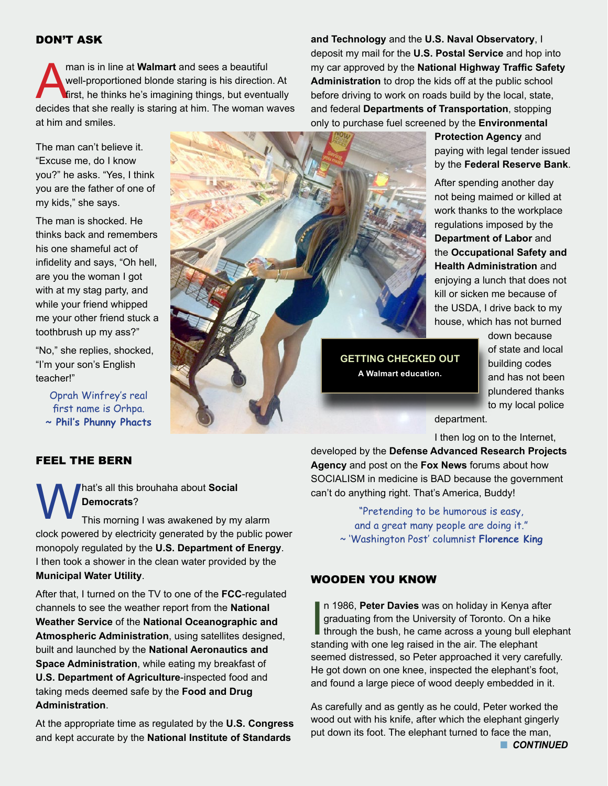man is in line at **Walmart** and sees a beautiful<br>well-proportioned blonde staring is his direction<br>first, he thinks he's imagining things, but eventu well-proportioned blonde staring is his direction. At first, he thinks he's imagining things, but eventually decides that she really is staring at him. The woman waves at him and smiles.

The man can't believe it. "Excuse me, do I know you?" he asks. "Yes, I think you are the father of one of my kids," she says.

The man is shocked. He thinks back and remembers his one shameful act of infidelity and says, "Oh hell, are you the woman I got with at my stag party, and while your friend whipped me your other friend stuck a toothbrush up my ass?"

"No," she replies, shocked, "I'm your son's English teacher!"

Oprah Winfrey's real first name is Orhpa. **~ Phil's Phunny Phacts** 

# FEEL THE BERN

**What's all this brouhaha about Social Democrats?**<br>
This morning I was awakened by my alarm **Democrats**?

clock powered by electricity generated by the public power monopoly regulated by the **U.S. Department of Energy**. I then took a shower in the clean water provided by the **Municipal Water Utility**.

After that, I turned on the TV to one of the **FCC**-regulated channels to see the weather report from the **National Weather Service** of the **National Oceanographic and Atmospheric Administration**, using satellites designed, built and launched by the **National Aeronautics and Space Administration**, while eating my breakfast of **U.S. Department of Agriculture**-inspected food and taking meds deemed safe by the **Food and Drug Administration**.

At the appropriate time as regulated by the **U.S. Congress** and kept accurate by the **National Institute of Standards** 

**and Technology** and the **U.S. Naval Observatory**, I deposit my mail for the **U.S. Postal Service** and hop into my car approved by the **National Highway Traffic Safety Administration** to drop the kids off at the public school before driving to work on roads build by the local, state, and federal **Departments of Transportation**, stopping only to purchase fuel screened by the **Environmental** 

> **Protection Agency** and paying with legal tender issued by the **Federal Reserve Bank**.

After spending another day not being maimed or killed at work thanks to the workplace regulations imposed by the **Department of Labor** and the **Occupational Safety and Health Administration** and enjoying a lunch that does not kill or sicken me because of the USDA, I drive back to my house, which has not burned

**GETTING CHECKED OUT A Walmart education.**

down because of state and local building codes and has not been plundered thanks to my local police

department.

I then log on to the Internet,

developed by the **Defense Advanced Research Projects Agency** and post on the **Fox News** forums about how SOCIALISM in medicine is BAD because the government can't do anything right. That's America, Buddy!

> "Pretending to be humorous is easy, and a great many people are doing it." ~ 'Washington Post' columnist **Florence King**

# WOODEN YOU KNOW

In 1986, Peter Davies was on holiday in Kenya af graduating from the University of Toronto. On a hithrough the bush, he came across a young bull elected in the air. The elephant n 1986, **Peter Davies** was on holiday in Kenya after graduating from the University of Toronto. On a hike through the bush, he came across a young bull elephant seemed distressed, so Peter approached it very carefully. He got down on one knee, inspected the elephant's foot, and found a large piece of wood deeply embedded in it.

As carefully and as gently as he could, Peter worked the wood out with his knife, after which the elephant gingerly put down its foot. The elephant turned to face the man,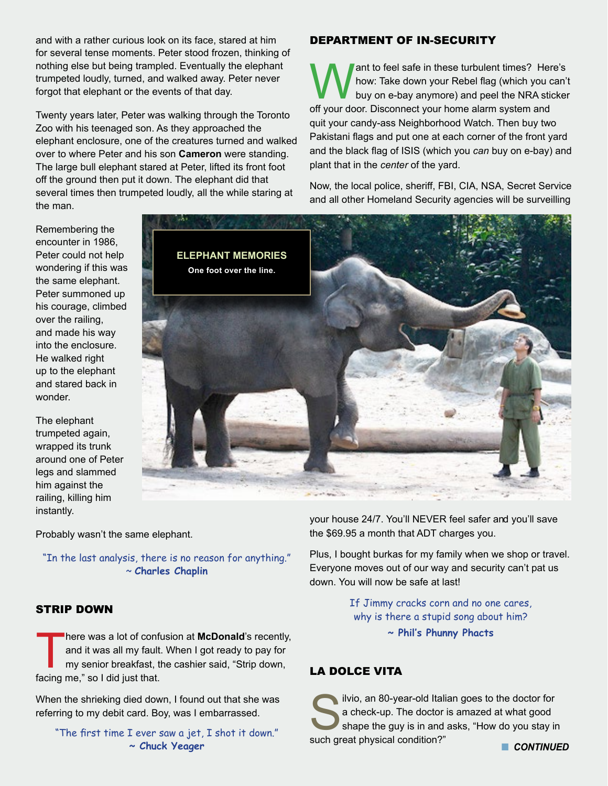and with a rather curious look on its face, stared at him for several tense moments. Peter stood frozen, thinking of nothing else but being trampled. Eventually the elephant trumpeted loudly, turned, and walked away. Peter never forgot that elephant or the events of that day.

Twenty years later, Peter was walking through the Toronto Zoo with his teenaged son. As they approached the elephant enclosure, one of the creatures turned and walked over to where Peter and his son **Cameron** were standing. The large bull elephant stared at Peter, lifted its front foot off the ground then put it down. The elephant did that several times then trumpeted loudly, all the while staring at the man.

#### DEPARTMENT OF IN-SECURITY

**Want to feel safe in these turbulent times? Here's**<br>how: Take down your Rebel flag (which you can't<br>buy on e-bay anymore) and peel the NRA sticker<br>off your door. Disconnect your home alarm system and how: Take down your Rebel flag (which you can't buy on e-bay anymore) and peel the NRA sticker off your door. Disconnect your home alarm system and quit your candy-ass Neighborhood Watch. Then buy two Pakistani flags and put one at each corner of the front yard and the black flag of ISIS (which you *can* buy on e-bay) and plant that in the *center* of the yard.

Now, the local police, sheriff, FBI, CIA, NSA, Secret Service and all other Homeland Security agencies will be surveilling

Remembering the encounter in 1986, Peter could not help wondering if this was the same elephant. Peter summoned up his courage, climbed over the railing, and made his way into the enclosure. He walked right up to the elephant and stared back in wonder.

The elephant trumpeted again, wrapped its trunk around one of Peter legs and slammed him against the railing, killing him instantly.



Probably wasn't the same elephant.

"In the last analysis, there is no reason for anything." ~ **Charles Chaplin**

#### STRIP DOWN

There was a lot of confusion at **McDonald**'s recently,<br>and it was all my fault. When I got ready to pay for<br>my senior breakfast, the cashier said, "Strip down,<br>facing me " so I did just that and it was all my fault. When I got ready to pay for my senior breakfast, the cashier said, "Strip down, facing me," so I did just that.

When the shrieking died down, I found out that she was referring to my debit card. Boy, was I embarrassed.

"The first time I ever saw a jet, I shot it down." **~ Chuck Yeager**

your house 24/7. You'll NEVER feel safer and you'll save the \$69.95 a month that ADT charges you.

Plus, I bought burkas for my family when we shop or travel. Everyone moves out of our way and security can't pat us down. You will now be safe at last!

> If Jimmy cracks corn and no one cares, why is there a stupid song about him?

**~ Phil's Phunny Phacts**

## LA DOLCE VITA

ilvio, an 80-year-old Italian goes to the doctor for<br>a check-up. The doctor is amazed at what good<br>shape the guy is in and asks, "How do you stay in<br>such great physical condition?" a check-up. The doctor is amazed at what good shape the guy is in and asks, "How do you stay in such great physical condition?" **N CONTINUED**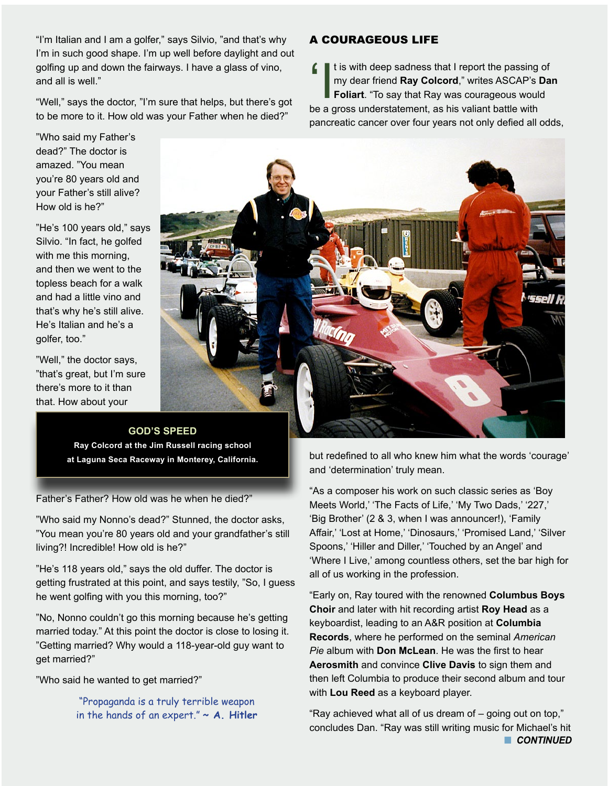"I'm Italian and I am a golfer," says Silvio, "and that's why I'm in such good shape. I'm up well before daylight and out golfing up and down the fairways. I have a glass of vino, and all is well."

"Well," says the doctor, "I'm sure that helps, but there's got to be more to it. How old was your Father when he died?"

"Who said my Father's dead?" The doctor is amazed. "You mean you're 80 years old and your Father's still alive? How old is he?"

"He's 100 years old," says Silvio. "In fact, he golfed with me this morning, and then we went to the topless beach for a walk and had a little vino and that's why he's still alive. He's Italian and he's a golfer, too."

"Well," the doctor says, "that's great, but I'm sure there's more to it than that. How about your



**GOD'S SPEED Ray Colcord at the Jim Russell racing school at Laguna Seca Raceway in Monterey, California.** 

Father's Father? How old was he when he died?"

"Who said my Nonno's dead?" Stunned, the doctor asks, "You mean you're 80 years old and your grandfather's still living?! Incredible! How old is he?"

"He's 118 years old," says the old duffer. The doctor is getting frustrated at this point, and says testily, "So, I guess he went golfing with you this morning, too?"

"No, Nonno couldn't go this morning because he's getting married today." At this point the doctor is close to losing it. "Getting married? Why would a 118-year-old guy want to get married?"

"Who said he wanted to get married?"

"Propaganda is a truly terrible weapon in the hands of an expert." **~ A. Hitler**

but redefined to all who knew him what the words 'courage' and 'determination' truly mean.

"As a composer his work on such classic series as 'Boy Meets World,' 'The Facts of Life,' 'My Two Dads,' '227,' 'Big Brother' (2 & 3, when I was announcer!), 'Family Affair,' 'Lost at Home,' 'Dinosaurs,' 'Promised Land,' 'Silver Spoons,' 'Hiller and Diller,' 'Touched by an Angel' and 'Where I Live,' among countless others, set the bar high for all of us working in the profession.

"Early on, Ray toured with the renowned **Columbus Boys Choir** and later with hit recording artist **Roy Head** as a keyboardist, leading to an A&R position at **Columbia Records**, where he performed on the seminal *American Pie* album with **Don McLean**. He was the first to hear **Aerosmith** and convince **Clive Davis** to sign them and then left Columbia to produce their second album and tour with **Lou Reed** as a keyboard player.

"Ray achieved what all of us dream of – going out on top," concludes Dan. "Ray was still writing music for Michael's hit **n** CONTINUED

## A COURAGEOUS LIFE

It is with deep sadness that I report the passing of<br>
my dear friend **Ray Colcord**," writes ASCAP's **Da<br>
Foliart**. "To say that Ray was courageous would<br>
be a gross understatement, as his valiant battle with my dear friend **Ray Colcord**," writes ASCAP's **Dan Foliart**. "To say that Ray was courageous would be a gross understatement, as his valiant battle with pancreatic cancer over four years not only defied all odds,